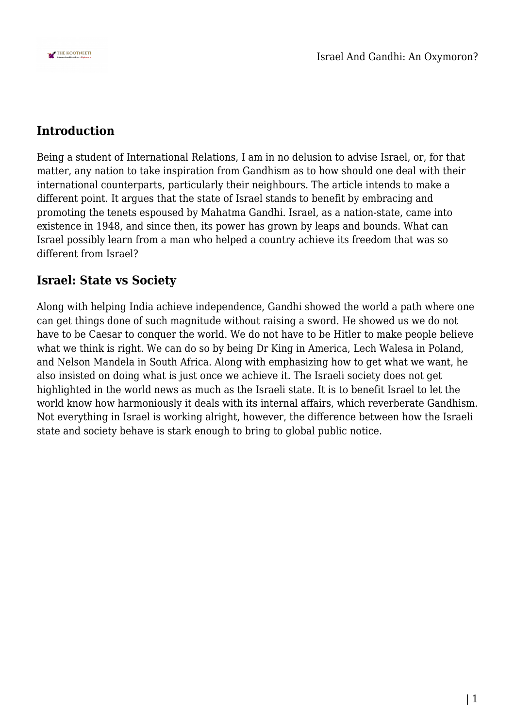

## **Introduction**

Being a student of International Relations, I am in no delusion to advise Israel, or, for that matter, any nation to take inspiration from Gandhism as to how should one deal with their international counterparts, particularly their neighbours. The article intends to make a different point. It argues that the state of Israel stands to benefit by embracing and promoting the tenets espoused by Mahatma Gandhi. Israel, as a nation-state, came into existence in 1948, and since then, its power has grown by leaps and bounds. What can Israel possibly learn from a man who helped a country achieve its freedom that was so different from Israel?

### **Israel: State vs Society**

Along with helping India achieve independence, Gandhi showed the world a path where one can get things done of such magnitude without raising a sword. He showed us we do not have to be Caesar to conquer the world. We do not have to be Hitler to make people believe what we think is right. We can do so by being Dr King in America, Lech Walesa in Poland, and Nelson Mandela in South Africa. Along with emphasizing how to get what we want, he also insisted on doing what is just once we achieve it. The Israeli society does not get highlighted in the world news as much as the Israeli state. It is to benefit Israel to let the world know how harmoniously it deals with its internal affairs, which reverberate Gandhism. Not everything in Israel is working alright, however, the difference between how the Israeli state and society behave is stark enough to bring to global public notice.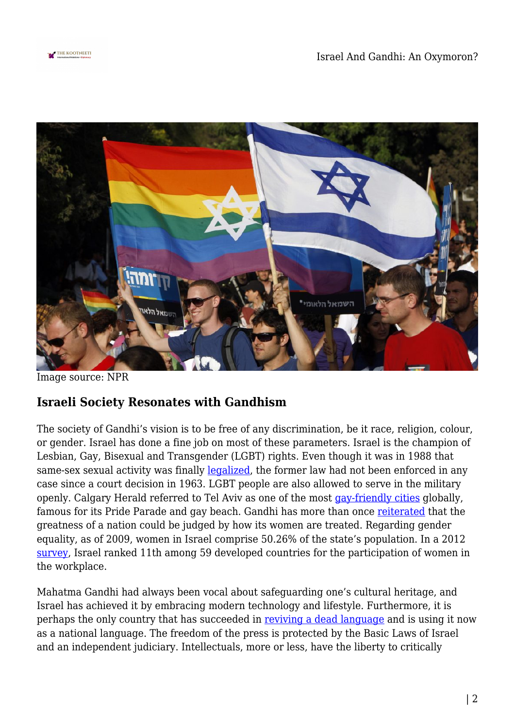



Image source: NPR

### **Israeli Society Resonates with Gandhism**

The society of Gandhi's vision is to be free of any discrimination, be it race, religion, colour, or gender. Israel has done a fine job on most of these parameters. Israel is the champion of Lesbian, Gay, Bisexual and Transgender (LGBT) rights. Even though it was in 1988 that same-sex sexual activity was finally [legalized](https://www.equaldex.com/region/israel), the former law had not been enforced in any case since a court decision in 1963. LGBT people are also allowed to serve in the military openly. Calgary Herald referred to Tel Aviv as one of the most [gay-friendly cities](https://blogs.timesofisrael.com/israel-is-the-gayest-country-on-earth/) globally, famous for its Pride Parade and gay beach. Gandhi has more than once [reiterated](https://www.mkgandhi.org/ebks/SWMGandhi.pdf) that the greatness of a nation could be judged by how its women are treated. Regarding gender equality, as of 2009, women in Israel comprise 50.26% of the state's population. In a 2012 [survey,](https://www.ynetnews.com/articles/0,7340,L-4199179,00.html#:~:text=IMD%20survey%20reveals%20that%20Israel%20ranks%20in%2011th,for%20the%20participation%20of%20women%20in%20the%20workplace.) Israel ranked 11th among 59 developed countries for the participation of women in the workplace.

Mahatma Gandhi had always been vocal about safeguarding one's cultural heritage, and Israel has achieved it by embracing modern technology and lifestyle. Furthermore, it is perhaps the only country that has succeeded in [reviving a dead language](https://jewishunpacked.com/hebrew-a-dead-language-revived/) and is using it now as a national language. The freedom of the press is protected by the Basic Laws of Israel and an independent judiciary. Intellectuals, more or less, have the liberty to critically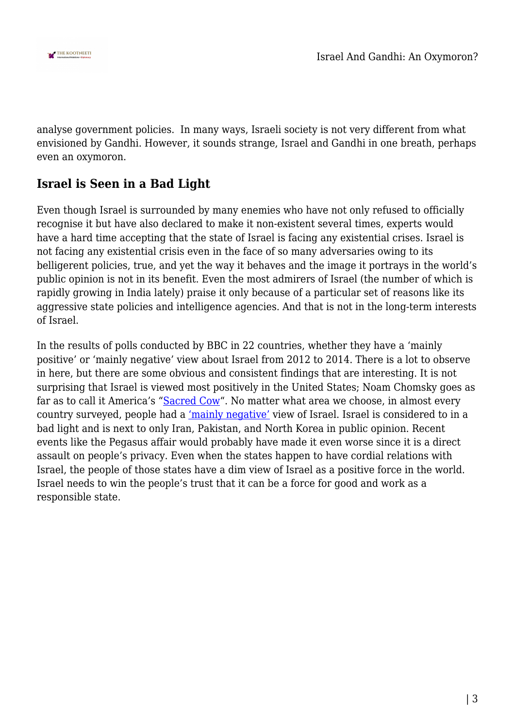

analyse government policies. In many ways, Israeli society is not very different from what envisioned by Gandhi. However, it sounds strange, Israel and Gandhi in one breath, perhaps even an oxymoron.

# **Israel is Seen in a Bad Light**

Even though Israel is surrounded by many enemies who have not only refused to officially recognise it but have also declared to make it non-existent several times, experts would have a hard time accepting that the state of Israel is facing any existential crises. Israel is not facing any existential crisis even in the face of so many adversaries owing to its belligerent policies, true, and yet the way it behaves and the image it portrays in the world's public opinion is not in its benefit. Even the most admirers of Israel (the number of which is rapidly growing in India lately) praise it only because of a particular set of reasons like its aggressive state policies and intelligence agencies. And that is not in the long-term interests of Israel.

In the results of polls conducted by BBC in 22 countries, whether they have a 'mainly positive' or 'mainly negative' view about Israel from 2012 to 2014. There is a lot to observe in here, but there are some obvious and consistent findings that are interesting. It is not surprising that Israel is viewed most positively in the United States; Noam Chomsky goes as far as to call it America's "[Sacred Cow](https://www.bu.edu/articles/2010/noam-chomsky-rails-against-israel-again/)". No matter what area we choose, in almost every country surveyed, people had a ['mainly negative'](https://www.bbc.com/news/world-europe-22624104) view of Israel. Israel is considered to in a bad light and is next to only Iran, Pakistan, and North Korea in public opinion. Recent events like the Pegasus affair would probably have made it even worse since it is a direct assault on people's privacy. Even when the states happen to have cordial relations with Israel, the people of those states have a dim view of Israel as a positive force in the world. Israel needs to win the people's trust that it can be a force for good and work as a responsible state.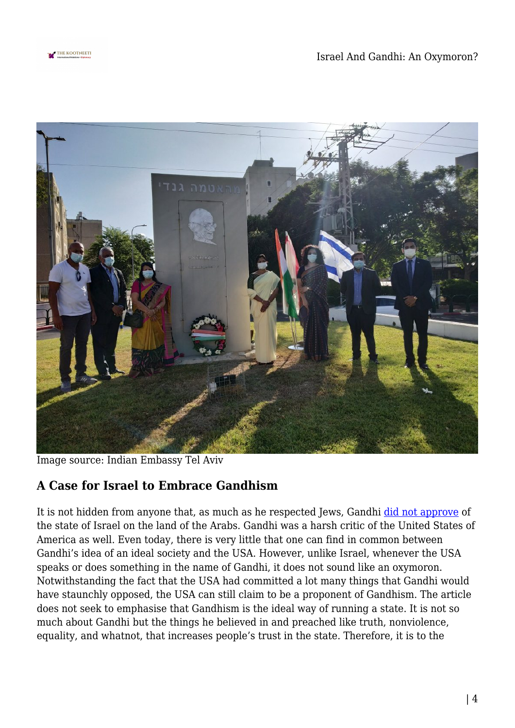



Image source: Indian Embassy Tel Aviv

# **A Case for Israel to Embrace Gandhism**

It is not hidden from anyone that, as much as he respected Jews, Gandhi [did not approve](https://www.mkgandhi.org/ebks/SWMGandhi.pdf) of the state of Israel on the land of the Arabs. Gandhi was a harsh critic of the United States of America as well. Even today, there is very little that one can find in common between Gandhi's idea of an ideal society and the USA. However, unlike Israel, whenever the USA speaks or does something in the name of Gandhi, it does not sound like an oxymoron. Notwithstanding the fact that the USA had committed a lot many things that Gandhi would have staunchly opposed, the USA can still claim to be a proponent of Gandhism. The article does not seek to emphasise that Gandhism is the ideal way of running a state. It is not so much about Gandhi but the things he believed in and preached like truth, nonviolence, equality, and whatnot, that increases people's trust in the state. Therefore, it is to the